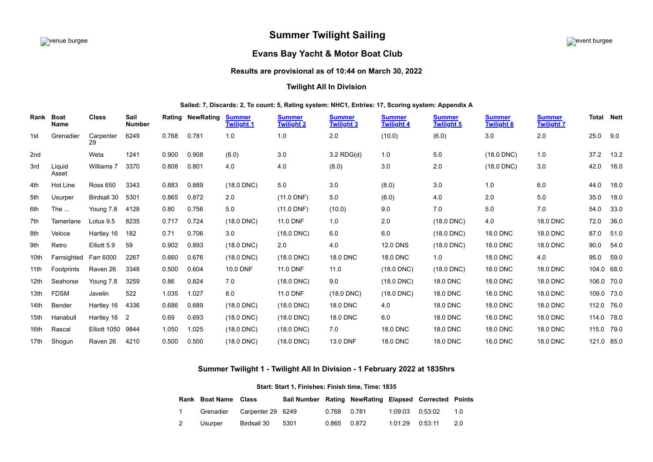# **Summer Twilight Sailing**



# **Evans Bay Yacht & Motor Boat Club**

## **Results are provisional as of 10:44 on March 30, 2022**

### **Twilight All In Division**

#### **Sailed: 7, Discards: 2, To count: 5, Rating system: NHC1, Entries: 17, Scoring system: Appendix A**

| Rank | <b>Boat</b><br>Name | Class             | Sail<br><b>Number</b> |       | <b>Rating NewRating</b> | <b>Summer</b><br><b>Twilight 1</b> | <b>Summer</b><br><b>Twilight 2</b> | <b>Summer</b><br><b>Twilight 3</b> | <b>Summer</b><br><b>Twilight 4</b> | <b>Summer</b><br><b>Twilight 5</b> | <b>Summer</b><br><b>Twilight 6</b> | <b>Summer</b><br><b>Twilight 7</b> | Total      | Nett |
|------|---------------------|-------------------|-----------------------|-------|-------------------------|------------------------------------|------------------------------------|------------------------------------|------------------------------------|------------------------------------|------------------------------------|------------------------------------|------------|------|
| 1st  | Grenadier           | Carpenter<br>29   | 6249                  | 0.768 | 0.781                   | 1.0                                | 1.0                                | 2.0                                | (10.0)                             | (6.0)                              | 3.0                                | 2.0                                | 25.0       | 9.0  |
| 2nd  |                     | Weta              | 1241                  | 0.900 | 0.908                   | (6.0)                              | 3.0                                | $3.2$ RDG(d)                       | 1.0                                | 5.0                                | $(18.0$ DNC)                       | 1.0                                | 37.2       | 13.2 |
| 3rd  | Liquid<br>Asset     | Williams 7        | 3370                  | 0.808 | 0.801                   | 4.0                                | 4.0                                | (8.0)                              | 3.0                                | 2.0                                | $(18.0$ DNC)                       | 3.0                                | 42.0       | 16.0 |
| 4th  | Hot Line            | <b>Ross 650</b>   | 3343                  | 0.883 | 0.889                   | $(18.0$ DNC)                       | 5.0                                | 3.0                                | (8.0)                              | 3.0                                | 1.0                                | 6.0                                | 44.0       | 18.0 |
| 5th  | Usurper             | Birdsall 30       | 5301                  | 0.865 | 0.872                   | 2.0                                | $(11.0$ DNF)                       | 5.0                                | (6.0)                              | 4.0                                | 2.0                                | 5.0                                | 35.0       | 18.0 |
| 6th  | The $\ldots$        | Young 7.8         | 4128                  | 0.80  | 0.756                   | 5.0                                | $(11.0$ DNF)                       | (10.0)                             | 9.0                                | 7.0                                | $5.0\,$                            | 7.0                                | 54.0       | 33.0 |
| 7th  | Tamerlane           | Lotus 9.5         | 8235                  | 0.717 | 0.724                   | $(18.0$ DNC)                       | <b>11.0 DNF</b>                    | 1.0                                | 2.0                                | $(18.0$ DNC)                       | 4.0                                | <b>18.0 DNC</b>                    | 72.0       | 36.0 |
| 8th  | Veloce              | Hartley 16        | 182                   | 0.71  | 0.706                   | 3.0                                | $(18.0$ DNC)                       | 6.0                                | 6.0                                | $(18.0$ DNC)                       | <b>18.0 DNC</b>                    | 18.0 DNC                           | 87.0       | 51.0 |
| 9th  | Retro               | Elliott 5.9       | 59                    | 0.902 | 0.893                   | $(18.0$ DNC)                       | 2.0                                | 4.0                                | <b>12.0 DNS</b>                    | $(18.0$ DNC)                       | 18.0 DNC                           | <b>18.0 DNC</b>                    | 90.0       | 54.0 |
| 10th | Farrsighted         | Farr 6000         | 2267                  | 0.660 | 0.676                   | $(18.0$ DNC)                       | $(18.0$ DNC)                       | 18.0 DNC                           | <b>18.0 DNC</b>                    | 1.0                                | 18.0 DNC                           | 4.0                                | 95.0       | 59.0 |
| 11th | Footprints          | Raven 26          | 3348                  | 0.500 | 0.604                   | 10.0 DNF                           | 11.0 DNF                           | 11.0                               | $(18.0$ DNC)                       | $(18.0$ DNC)                       | 18.0 DNC                           | 18.0 DNC                           | 104.0 68.0 |      |
| 12th | Seahorse            | Young 7.8         | 3259                  | 0.86  | 0.824                   | 7.0                                | $(18.0$ DNC)                       | 9.0                                | $(18.0$ DNC)                       | <b>18.0 DNC</b>                    | 18.0 DNC                           | <b>18.0 DNC</b>                    | 106.0 70.0 |      |
| 13th | <b>FDSM</b>         | Javelin           | 522                   | 1.035 | 1.027                   | 8.0                                | 11.0 DNF                           | $(18.0$ DNC)                       | $(18.0$ DNC)                       | <b>18.0 DNC</b>                    | 18.0 DNC                           | <b>18.0 DNC</b>                    | 109.0 73.0 |      |
| 14th | Bender              | Hartley 16        | 4336                  | 0.686 | 0.689                   | $(18.0$ DNC)                       | $(18.0$ DNC)                       | 18.0 DNC                           | 4.0                                | 18.0 DNC                           | 18.0 DNC                           | <b>18.0 DNC</b>                    | 112.0 76.0 |      |
| 15th | Hanabull            | Hartley 16        | $\overline{2}$        | 0.69  | 0.693                   | $(18.0$ DNC)                       | $(18.0$ DNC)                       | <b>18.0 DNC</b>                    | 6.0                                | <b>18.0 DNC</b>                    | 18.0 DNC                           | <b>18.0 DNC</b>                    | 114.0 78.0 |      |
| 16th | Rascal              | Elliott 1050 9844 |                       | 1.050 | 1.025                   | $(18.0$ DNC)                       | $(18.0$ DNC)                       | 7.0                                | <b>18.0 DNC</b>                    | <b>18.0 DNC</b>                    | 18.0 DNC                           | <b>18.0 DNC</b>                    | 115.0 79.0 |      |
| 17th | Shogun              | Raven 26          | 4210                  | 0.500 | 0.500                   | $(18.0$ DNC)                       | $(18.0$ DNC)                       | 13.0 DNF                           | 18.0 DNC                           | 18.0 DNC                           | 18.0 DNC                           | <b>18.0 DNC</b>                    | 121.0 85.0 |      |

## **Summer Twilight 1 - Twilight All In Division - 1 February 2022 at 1835hrs**

#### **Start: Start 1, Finishes: Finish time, Time: 1835**

<span id="page-0-0"></span>

|   | <b>Rank Boat Name Class</b> |                             | Sail Number Rating NewRating Elapsed Corrected Points |              |                     |     |
|---|-----------------------------|-----------------------------|-------------------------------------------------------|--------------|---------------------|-----|
|   |                             | Grenadier Carpenter 29 6249 |                                                       | 0.768  0.781 | $1:09:03$ $0:53:02$ | 1 N |
| 2 | Usurper                     | Birdsall 30                 | 5301                                                  | 0.865 0.872  | $1:01:29$ $0:53:11$ | 20  |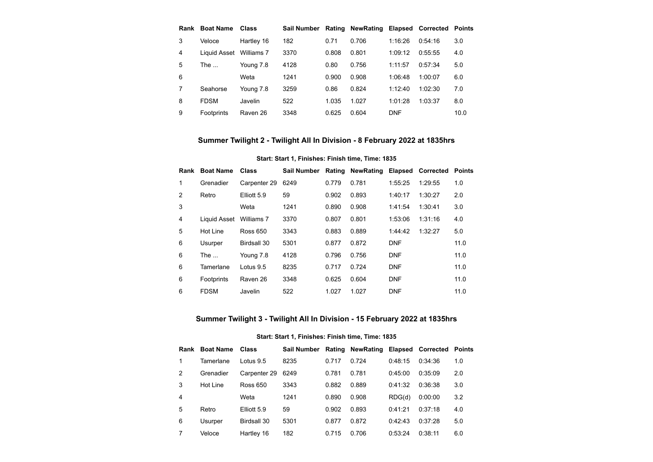|   | Rank Boat Name          | Class      | Sail Number |       | <b>Rating NewRating</b> |            | <b>Elapsed Corrected Points</b> |      |
|---|-------------------------|------------|-------------|-------|-------------------------|------------|---------------------------------|------|
| 3 | Veloce                  | Hartley 16 | 182         | 0.71  | 0.706                   | 1:16:26    | 0.54.16                         | 3.0  |
| 4 | Liquid Asset Williams 7 |            | 3370        | 0.808 | 0.801                   | 1:09:12    | 0:55:55                         | 4.0  |
| 5 | The $\ldots$            | Young 7.8  | 4128        | 0.80  | 0.756                   | 1:11:57    | 0.57.34                         | 5.0  |
| 6 |                         | Weta       | 1241        | 0.900 | 0.908                   | 1:06:48    | 1:00:07                         | 6.0  |
|   | Seahorse                | Young 7.8  | 3259        | 0.86  | 0.824                   | 1:12:40    | 1:02:30                         | 7.0  |
| 8 | <b>FDSM</b>             | Javelin    | 522         | 1.035 | 1.027                   | 1:01:28    | 1:03:37                         | 8.0  |
| 9 | Footprints              | Raven 26   | 3348        | 0.625 | 0.604                   | <b>DNF</b> |                                 | 10.0 |

# **Summer Twilight 2 - Twilight All In Division - 8 February 2022 at 1835hrs**

### **Start: Start 1, Finishes: Finish time, Time: 1835**

<span id="page-1-0"></span>

| Rank | <b>Boat Name</b> | <b>Class</b> | Sail Number |       | Rating NewRating Elapsed Corrected Points |            |         |      |
|------|------------------|--------------|-------------|-------|-------------------------------------------|------------|---------|------|
| 1    | Grenadier        | Carpenter 29 | 6249        | 0.779 | 0.781                                     | 1:55:25    | 1:29:55 | 1.0  |
| 2    | Retro            | Elliott 5.9  | 59          | 0.902 | 0.893                                     | 1:40:17    | 1:30:27 | 2.0  |
| 3    |                  | Weta         | 1241        | 0.890 | 0.908                                     | 1:41:54    | 1:30:41 | 3.0  |
| 4    | Liquid Asset     | Williams 7   | 3370        | 0.807 | 0.801                                     | 1:53:06    | 1:31:16 | 4.0  |
| 5    | Hot Line         | Ross 650     | 3343        | 0.883 | 0.889                                     | 1:44:42    | 1:32:27 | 5.0  |
| 6    | Usurper          | Birdsall 30  | 5301        | 0.877 | 0.872                                     | <b>DNF</b> |         | 11.0 |
| 6    | The $\ldots$     | Young 7.8    | 4128        | 0.796 | 0.756                                     | <b>DNF</b> |         | 11.0 |
| 6    | Tamerlane        | Lotus 9.5    | 8235        | 0.717 | 0.724                                     | <b>DNF</b> |         | 11.0 |
| 6    | Footprints       | Raven 26     | 3348        | 0.625 | 0.604                                     | <b>DNF</b> |         | 11.0 |
| 6    | <b>FDSM</b>      | Javelin      | 522         | 1.027 | 1.027                                     | <b>DNF</b> |         | 11.0 |

# **Summer Twilight 3 - Twilight All In Division - 15 February 2022 at 1835hrs**

### **Start: Start 1, Finishes: Finish time, Time: 1835**

<span id="page-1-1"></span>

|   | Rank Boat Name Class |              | Sail Number Rating |       | <b>NewRating Elapsed Corrected Points</b> |         |         |     |
|---|----------------------|--------------|--------------------|-------|-------------------------------------------|---------|---------|-----|
|   | Tamerlane            | Lotus 9.5    | 8235               | 0.717 | 0.724                                     | 0:48:15 | 0.34.36 | 1.0 |
| 2 | Grenadier            | Carpenter 29 | 6249               | 0.781 | 0.781                                     | 0:45:00 | 0:35:09 | 2.0 |
| 3 | Hot Line             | Ross 650     | 3343               | 0.882 | 0.889                                     | 0:41:32 | 0:36:38 | 3.0 |
| 4 |                      | Weta         | 1241               | 0.890 | 0.908                                     | RDG(d)  | 0:00:00 | 3.2 |
| 5 | Retro                | Elliott 5.9  | 59                 | 0.902 | 0.893                                     | 0.41.21 | 0.37.18 | 4.0 |
| 6 | Usurper              | Birdsall 30  | 5301               | 0.877 | 0.872                                     | 0.42.43 | 0:37:28 | 5.0 |
|   | Veloce               | Hartley 16   | 182                | 0.715 | 0.706                                     | 0:53:24 | 0:38:11 | 6.0 |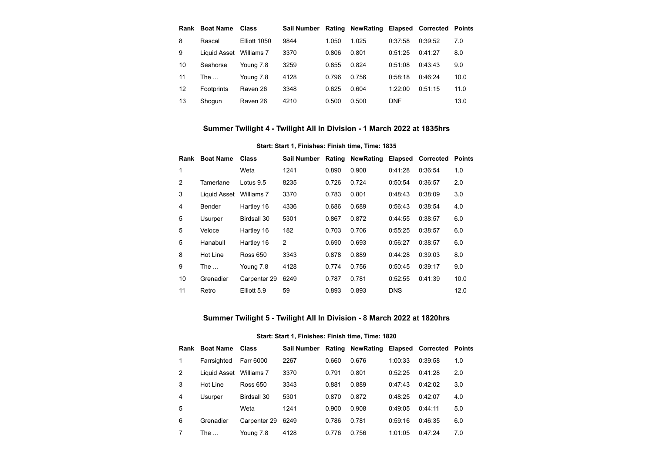| Rank | <b>Boat Name</b> | Class        | Sail Number |       | Rating NewRating Elapsed Corrected Points |            |         |      |
|------|------------------|--------------|-------------|-------|-------------------------------------------|------------|---------|------|
| 8    | Rascal           | Elliott 1050 | 9844        | 1.050 | 1.025                                     | 0:37:58    | 0:39:52 | 7.0  |
| 9    | Liquid Asset     | Williams 7   | 3370        | 0.806 | 0.801                                     | 0:51:25    | 0:41:27 | 8.0  |
| 10   | Seahorse         | Young 7.8    | 3259        | 0.855 | 0.824                                     | 0:51:08    | 0:43:43 | 9.0  |
| 11   | The              | Young 7.8    | 4128        | 0.796 | 0.756                                     | 0:58:18    | 0:46:24 | 10.0 |
| 12   | Footprints       | Raven 26     | 3348        | 0.625 | 0.604                                     | 1:22:00    | 0:51:15 | 11.0 |
| 13   | Shogun           | Raven 26     | 4210        | 0.500 | 0.500                                     | <b>DNF</b> |         | 13.0 |

# **Summer Twilight 4 - Twilight All In Division - 1 March 2022 at 1835hrs**

## **Start: Start 1, Finishes: Finish time, Time: 1835**

<span id="page-2-0"></span>

| Rank | <b>Boat Name</b> | <b>Class</b>    | Sail Number    | Rating | <b>NewRating</b> | <b>Elapsed</b> | <b>Corrected</b> | <b>Points</b> |
|------|------------------|-----------------|----------------|--------|------------------|----------------|------------------|---------------|
| 1    |                  | Weta            | 1241           | 0.890  | 0.908            | 0:41:28        | 0:36:54          | 1.0           |
| 2    | Tamerlane        | Lotus 9.5       | 8235           | 0.726  | 0.724            | 0:50:54        | 0:36:57          | 2.0           |
| 3    | Liquid Asset     | Williams 7      | 3370           | 0.783  | 0.801            | 0:48:43        | 0:38:09          | 3.0           |
| 4    | Bender           | Hartley 16      | 4336           | 0.686  | 0.689            | 0:56:43        | 0:38:54          | 4.0           |
| 5    | Usurper          | Birdsall 30     | 5301           | 0.867  | 0.872            | 0:44:55        | 0:38:57          | 6.0           |
| 5    | Veloce           | Hartley 16      | 182            | 0.703  | 0.706            | 0:55:25        | 0:38:57          | 6.0           |
| 5    | Hanabull         | Hartley 16      | $\overline{2}$ | 0.690  | 0.693            | 0:56:27        | 0:38:57          | 6.0           |
| 8    | Hot Line         | <b>Ross 650</b> | 3343           | 0.878  | 0.889            | 0:44:28        | 0:39:03          | 8.0           |
| 9    | The              | Young 7.8       | 4128           | 0.774  | 0.756            | 0:50:45        | 0:39:17          | 9.0           |
| 10   | Grenadier        | Carpenter 29    | 6249           | 0.787  | 0.781            | 0:52:55        | 0:41:39          | 10.0          |
| 11   | Retro            | Elliott 5.9     | 59             | 0.893  | 0.893            | <b>DNS</b>     |                  | 12.0          |

# **Summer Twilight 5 - Twilight All In Division - 8 March 2022 at 1820hrs**

#### **Start: Start 1, Finishes: Finish time, Time: 1820**

<span id="page-2-1"></span>

|   | <b>Rank Boat Name Class</b> |                    | Sail Number Rating NewRating Elapsed Corrected Points |       |       |         |         |     |
|---|-----------------------------|--------------------|-------------------------------------------------------|-------|-------|---------|---------|-----|
| 1 | Farrsighted                 | Farr 6000          | 2267                                                  | 0.660 | 0.676 | 1:00:33 | 0:39:58 | 1.0 |
| 2 | Liquid Asset Williams 7     |                    | 3370                                                  | 0.791 | 0.801 | 0:52:25 | 0.41.28 | 2.0 |
| 3 | Hot Line                    | Ross 650           | 3343                                                  | 0.881 | 0.889 | 0:47:43 | 0:42:02 | 3.0 |
| 4 | Usurper                     | <b>Birdsall 30</b> | 5301                                                  | 0.870 | 0.872 | 0:48:25 | 0:42:07 | 4.0 |
| 5 |                             | Weta               | 1241                                                  | 0.900 | 0.908 | 0:49:05 | 0.44:11 | 5.0 |
| 6 | Grenadier                   | Carpenter 29       | 6249                                                  | 0.786 | 0.781 | 0:59:16 | 0:46:35 | 6.0 |
|   | The $\dots$                 | Young 7.8          | 4128                                                  | 0.776 | 0.756 | 1:01:05 | 0.47.24 | 7.0 |